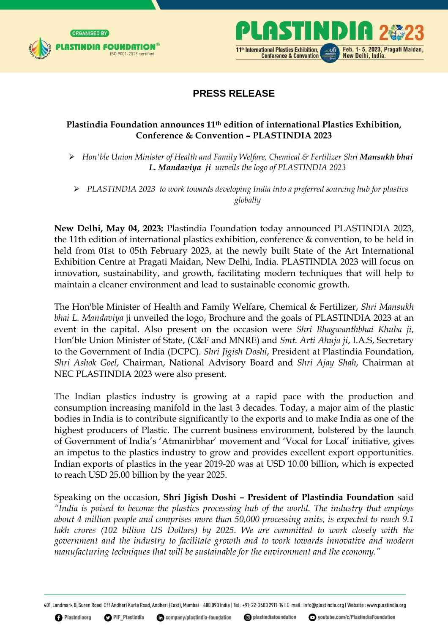



## **PRESS RELEASE**

## **Plastindia Foundation announces 11th edition of international Plastics Exhibition, Conference & Convention – PLASTINDIA 2023**

 $\triangleright$  Hon'ble Union Minister of Health and Family Welfare, Chemical & Fertilizer Shri **Mansukh bhai** *L. Mandaviya ji unveils the logo of PLASTINDIA 2023* 

 *PLASTINDIA 2023 to work towards developing India into a preferred sourcing hub for plastics globally* 

**New Delhi, May 04, 2023:** Plastindia Foundation today announced PLASTINDIA 2023, the 11th edition of international plastics exhibition, conference & convention, to be held in held from 01st to 05th February 2023, at the newly built State of the Art International Exhibition Centre at Pragati Maidan, New Delhi, India. PLASTINDIA 2023 will focus on innovation, sustainability, and growth, facilitating modern techniques that will help to maintain a cleaner environment and lead to sustainable economic growth.

The Hon'ble Minister of Health and Family Welfare, Chemical & Fertilizer, *Shri Mansukh bhai L. Mandaviya* ji unveiled the logo, Brochure and the goals of PLASTINDIA 2023 at an event in the capital. Also present on the occasion were *Shri Bhagwanthbhai Khuba ji*, Hon'ble Union Minister of State, (C&F and MNRE) and *Smt. Arti Ahuja ji*, I.A.S, Secretary to the Government of India (DCPC). *Shri Jigish Doshi*, President at Plastindia Foundation, *Shri Ashok Goel*, Chairman, National Advisory Board and *Shri Ajay Shah*, Chairman at NEC PLASTINDIA 2023 were also present.

The Indian plastics industry is growing at a rapid pace with the production and consumption increasing manifold in the last 3 decades. Today, a major aim of the plastic bodies in India is to contribute significantly to the exports and to make India as one of the highest producers of Plastic. The current business environment, bolstered by the launch of Government of India's 'Atmanirbhar' movement and 'Vocal for Local' initiative, gives an impetus to the plastics industry to grow and provides excellent export opportunities. Indian exports of plastics in the year 2019-20 was at USD 10.00 billion, which is expected to reach USD 25.00 billion by the year 2025.

Speaking on the occasion, **Shri Jigish Doshi – President of Plastindia Foundation** said *"India is poised to become the plastics processing hub of the world. The industry that employs about 4 million people and comprises more than 50,000 processing units, is expected to reach 9.1*  lakh crores (102 billion US Dollars) by 2025. We are committed to work closely with the *government and the industry to facilitate growth and to work towards innovative and modern manufacturing techniques that will be sustainable for the environment and the economy."* 

401, Landmark B, Suren Road, Off Andheri Kurla Road, Andheri (East), Mumbai - 400 093 India | Tel: +91-22-2683 2911-14 I E-mail: info@plastindia.org I Website: www.plastindia.org

company/plastindia-foundation

**O** plastindiafoundation

youtube.com/c/PlastindiaFoundation

**O** Plastndiaorg

**O** PIF Plastindia